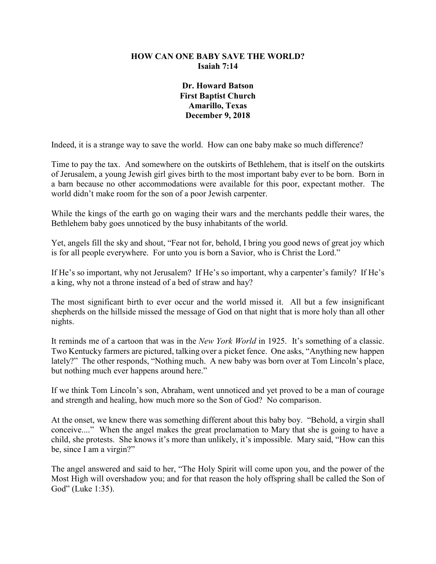## **HOW CAN ONE BABY SAVE THE WORLD? Isaiah 7:14**

**Dr. Howard Batson First Baptist Church Amarillo, Texas December 9, 2018**

Indeed, it is a strange way to save the world. How can one baby make so much difference?

Time to pay the tax. And somewhere on the outskirts of Bethlehem, that is itself on the outskirts of Jerusalem, a young Jewish girl gives birth to the most important baby ever to be born. Born in a barn because no other accommodations were available for this poor, expectant mother. The world didn't make room for the son of a poor Jewish carpenter.

While the kings of the earth go on waging their wars and the merchants peddle their wares, the Bethlehem baby goes unnoticed by the busy inhabitants of the world.

Yet, angels fill the sky and shout, "Fear not for, behold, I bring you good news of great joy which is for all people everywhere. For unto you is born a Savior, who is Christ the Lord."

If He's so important, why not Jerusalem? If He's so important, why a carpenter's family? If He's a king, why not a throne instead of a bed of straw and hay?

The most significant birth to ever occur and the world missed it. All but a few insignificant shepherds on the hillside missed the message of God on that night that is more holy than all other nights.

It reminds me of a cartoon that was in the *New York World* in 1925. It's something of a classic. Two Kentucky farmers are pictured, talking over a picket fence. One asks, "Anything new happen lately?" The other responds, "Nothing much. A new baby was born over at Tom Lincoln's place, but nothing much ever happens around here."

If we think Tom Lincoln's son, Abraham, went unnoticed and yet proved to be a man of courage and strength and healing, how much more so the Son of God? No comparison.

At the onset, we knew there was something different about this baby boy. "Behold, a virgin shall conceive...." When the angel makes the great proclamation to Mary that she is going to have a child, she protests. She knows it's more than unlikely, it's impossible. Mary said, "How can this be, since I am a virgin?"

The angel answered and said to her, "The Holy Spirit will come upon you, and the power of the Most High will overshadow you; and for that reason the holy offspring shall be called the Son of God" (Luke 1:35).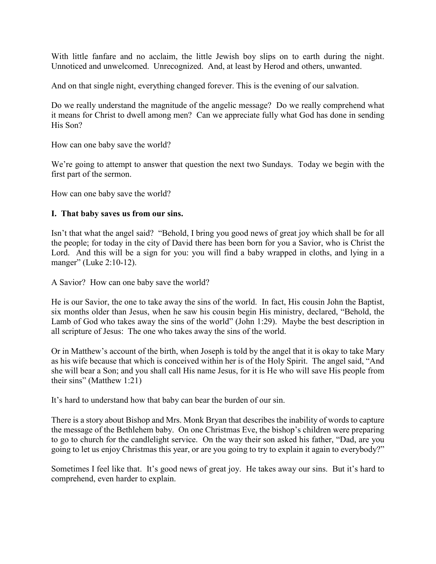With little fanfare and no acclaim, the little Jewish boy slips on to earth during the night. Unnoticed and unwelcomed. Unrecognized. And, at least by Herod and others, unwanted.

And on that single night, everything changed forever. This is the evening of our salvation.

Do we really understand the magnitude of the angelic message? Do we really comprehend what it means for Christ to dwell among men? Can we appreciate fully what God has done in sending His Son?

How can one baby save the world?

We're going to attempt to answer that question the next two Sundays. Today we begin with the first part of the sermon.

How can one baby save the world?

## **I. That baby saves us from our sins.**

Isn't that what the angel said? "Behold, I bring you good news of great joy which shall be for all the people; for today in the city of David there has been born for you a Savior, who is Christ the Lord. And this will be a sign for you: you will find a baby wrapped in cloths, and lying in a manger" (Luke 2:10-12).

A Savior? How can one baby save the world?

He is our Savior, the one to take away the sins of the world. In fact, His cousin John the Baptist, six months older than Jesus, when he saw his cousin begin His ministry, declared, "Behold, the Lamb of God who takes away the sins of the world" (John 1:29). Maybe the best description in all scripture of Jesus: The one who takes away the sins of the world.

Or in Matthew's account of the birth, when Joseph is told by the angel that it is okay to take Mary as his wife because that which is conceived within her is of the Holy Spirit. The angel said, "And she will bear a Son; and you shall call His name Jesus, for it is He who will save His people from their sins" (Matthew 1:21)

It's hard to understand how that baby can bear the burden of our sin.

There is a story about Bishop and Mrs. Monk Bryan that describes the inability of words to capture the message of the Bethlehem baby. On one Christmas Eve, the bishop's children were preparing to go to church for the candlelight service. On the way their son asked his father, "Dad, are you going to let us enjoy Christmas this year, or are you going to try to explain it again to everybody?"

Sometimes I feel like that. It's good news of great joy. He takes away our sins. But it's hard to comprehend, even harder to explain.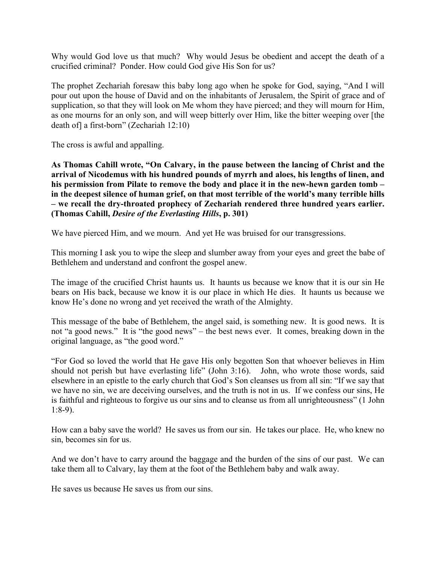Why would God love us that much? Why would Jesus be obedient and accept the death of a crucified criminal? Ponder. How could God give His Son for us?

The prophet Zechariah foresaw this baby long ago when he spoke for God, saying, "And I will pour out upon the house of David and on the inhabitants of Jerusalem, the Spirit of grace and of supplication, so that they will look on Me whom they have pierced; and they will mourn for Him, as one mourns for an only son, and will weep bitterly over Him, like the bitter weeping over [the death of] a first-born" (Zechariah 12:10)

The cross is awful and appalling.

**As Thomas Cahill wrote, "On Calvary, in the pause between the lancing of Christ and the arrival of Nicodemus with his hundred pounds of myrrh and aloes, his lengths of linen, and his permission from Pilate to remove the body and place it in the new-hewn garden tomb – in the deepest silence of human grief, on that most terrible of the world's many terrible hills – we recall the dry-throated prophecy of Zechariah rendered three hundred years earlier. (Thomas Cahill,** *Desire of the Everlasting Hills***, p. 301)**

We have pierced Him, and we mourn. And yet He was bruised for our transgressions.

This morning I ask you to wipe the sleep and slumber away from your eyes and greet the babe of Bethlehem and understand and confront the gospel anew.

The image of the crucified Christ haunts us. It haunts us because we know that it is our sin He bears on His back, because we know it is our place in which He dies. It haunts us because we know He's done no wrong and yet received the wrath of the Almighty.

This message of the babe of Bethlehem, the angel said, is something new. It is good news. It is not "a good news." It is "the good news" – the best news ever. It comes, breaking down in the original language, as "the good word."

"For God so loved the world that He gave His only begotten Son that whoever believes in Him should not perish but have everlasting life" (John 3:16). John, who wrote those words, said elsewhere in an epistle to the early church that God's Son cleanses us from all sin: "If we say that we have no sin, we are deceiving ourselves, and the truth is not in us. If we confess our sins, He is faithful and righteous to forgive us our sins and to cleanse us from all unrighteousness" (1 John 1:8-9).

How can a baby save the world? He saves us from our sin. He takes our place. He, who knew no sin, becomes sin for us.

And we don't have to carry around the baggage and the burden of the sins of our past. We can take them all to Calvary, lay them at the foot of the Bethlehem baby and walk away.

He saves us because He saves us from our sins.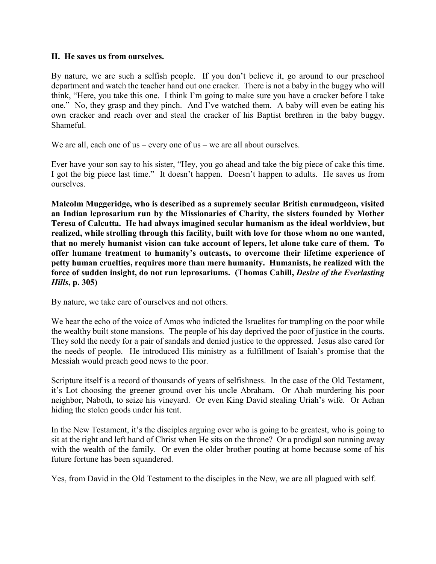## **II. He saves us from ourselves.**

By nature, we are such a selfish people. If you don't believe it, go around to our preschool department and watch the teacher hand out one cracker. There is not a baby in the buggy who will think, "Here, you take this one. I think I'm going to make sure you have a cracker before I take one." No, they grasp and they pinch. And I've watched them. A baby will even be eating his own cracker and reach over and steal the cracker of his Baptist brethren in the baby buggy. Shameful.

We are all, each one of us – every one of us – we are all about ourselves.

Ever have your son say to his sister, "Hey, you go ahead and take the big piece of cake this time. I got the big piece last time." It doesn't happen. Doesn't happen to adults. He saves us from ourselves.

**Malcolm Muggeridge, who is described as a supremely secular British curmudgeon, visited an Indian leprosarium run by the Missionaries of Charity, the sisters founded by Mother Teresa of Calcutta. He had always imagined secular humanism as the ideal worldview, but realized, while strolling through this facility, built with love for those whom no one wanted, that no merely humanist vision can take account of lepers, let alone take care of them. To offer humane treatment to humanity's outcasts, to overcome their lifetime experience of petty human cruelties, requires more than mere humanity. Humanists, he realized with the force of sudden insight, do not run leprosariums. (Thomas Cahill,** *Desire of the Everlasting Hills***, p. 305)**

By nature, we take care of ourselves and not others.

We hear the echo of the voice of Amos who indicted the Israelites for trampling on the poor while the wealthy built stone mansions. The people of his day deprived the poor of justice in the courts. They sold the needy for a pair of sandals and denied justice to the oppressed. Jesus also cared for the needs of people. He introduced His ministry as a fulfillment of Isaiah's promise that the Messiah would preach good news to the poor.

Scripture itself is a record of thousands of years of selfishness. In the case of the Old Testament, it's Lot choosing the greener ground over his uncle Abraham. Or Ahab murdering his poor neighbor, Naboth, to seize his vineyard. Or even King David stealing Uriah's wife. Or Achan hiding the stolen goods under his tent.

In the New Testament, it's the disciples arguing over who is going to be greatest, who is going to sit at the right and left hand of Christ when He sits on the throne? Or a prodigal son running away with the wealth of the family. Or even the older brother pouting at home because some of his future fortune has been squandered.

Yes, from David in the Old Testament to the disciples in the New, we are all plagued with self.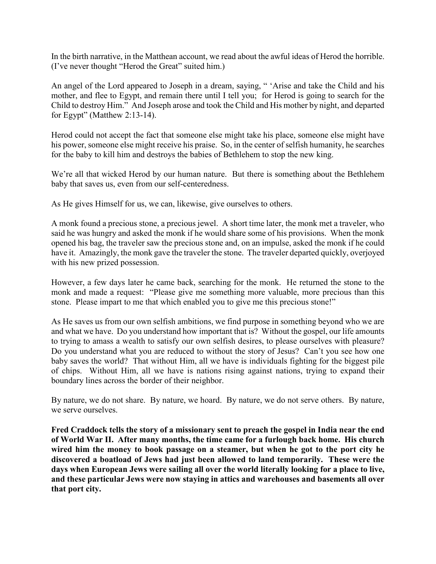In the birth narrative, in the Matthean account, we read about the awful ideas of Herod the horrible. (I've never thought "Herod the Great" suited him.)

An angel of the Lord appeared to Joseph in a dream, saying, " 'Arise and take the Child and his mother, and flee to Egypt, and remain there until I tell you; for Herod is going to search for the Child to destroy Him." And Joseph arose and took the Child and His mother by night, and departed for Egypt" (Matthew 2:13-14).

Herod could not accept the fact that someone else might take his place, someone else might have his power, someone else might receive his praise. So, in the center of selfish humanity, he searches for the baby to kill him and destroys the babies of Bethlehem to stop the new king.

We're all that wicked Herod by our human nature. But there is something about the Bethlehem baby that saves us, even from our self-centeredness.

As He gives Himself for us, we can, likewise, give ourselves to others.

A monk found a precious stone, a precious jewel. A short time later, the monk met a traveler, who said he was hungry and asked the monk if he would share some of his provisions. When the monk opened his bag, the traveler saw the precious stone and, on an impulse, asked the monk if he could have it. Amazingly, the monk gave the traveler the stone. The traveler departed quickly, overjoyed with his new prized possession.

However, a few days later he came back, searching for the monk. He returned the stone to the monk and made a request: "Please give me something more valuable, more precious than this stone. Please impart to me that which enabled you to give me this precious stone!"

As He saves us from our own selfish ambitions, we find purpose in something beyond who we are and what we have. Do you understand how important that is? Without the gospel, our life amounts to trying to amass a wealth to satisfy our own selfish desires, to please ourselves with pleasure? Do you understand what you are reduced to without the story of Jesus? Can't you see how one baby saves the world? That without Him, all we have is individuals fighting for the biggest pile of chips. Without Him, all we have is nations rising against nations, trying to expand their boundary lines across the border of their neighbor.

By nature, we do not share. By nature, we hoard. By nature, we do not serve others. By nature, we serve ourselves.

**Fred Craddock tells the story of a missionary sent to preach the gospel in India near the end of World War II. After many months, the time came for a furlough back home. His church wired him the money to book passage on a steamer, but when he got to the port city he discovered a boatload of Jews had just been allowed to land temporarily. These were the days when European Jews were sailing all over the world literally looking for a place to live, and these particular Jews were now staying in attics and warehouses and basements all over that port city.**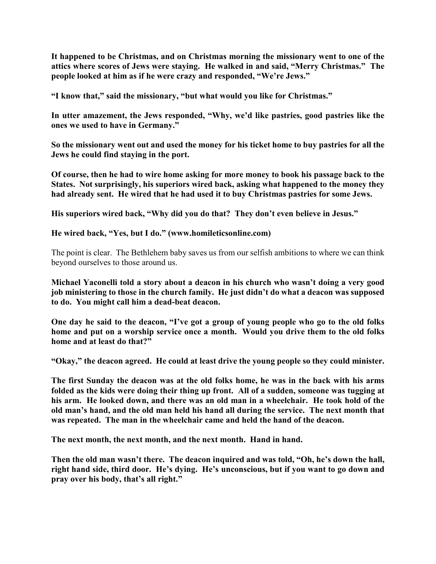**It happened to be Christmas, and on Christmas morning the missionary went to one of the attics where scores of Jews were staying. He walked in and said, "Merry Christmas." The people looked at him as if he were crazy and responded, "We're Jews."**

**"I know that," said the missionary, "but what would you like for Christmas."**

**In utter amazement, the Jews responded, "Why, we'd like pastries, good pastries like the ones we used to have in Germany."**

**So the missionary went out and used the money for his ticket home to buy pastries for all the Jews he could find staying in the port.**

**Of course, then he had to wire home asking for more money to book his passage back to the States. Not surprisingly, his superiors wired back, asking what happened to the money they had already sent. He wired that he had used it to buy Christmas pastries for some Jews.**

**His superiors wired back, "Why did you do that? They don't even believe in Jesus."**

**He wired back, "Yes, but I do." (www.homileticsonline.com)**

The point is clear. The Bethlehem baby saves us from our selfish ambitions to where we can think beyond ourselves to those around us.

**Michael Yaconelli told a story about a deacon in his church who wasn't doing a very good job ministering to those in the church family. He just didn't do what a deacon was supposed to do. You might call him a dead-beat deacon.**

**One day he said to the deacon, "I've got a group of young people who go to the old folks home and put on a worship service once a month. Would you drive them to the old folks home and at least do that?"**

**"Okay," the deacon agreed. He could at least drive the young people so they could minister.**

**The first Sunday the deacon was at the old folks home, he was in the back with his arms folded as the kids were doing their thing up front. All of a sudden, someone was tugging at his arm. He looked down, and there was an old man in a wheelchair. He took hold of the old man's hand, and the old man held his hand all during the service. The next month that was repeated. The man in the wheelchair came and held the hand of the deacon.**

**The next month, the next month, and the next month. Hand in hand.**

**Then the old man wasn't there. The deacon inquired and was told, "Oh, he's down the hall, right hand side, third door. He's dying. He's unconscious, but if you want to go down and pray over his body, that's all right."**